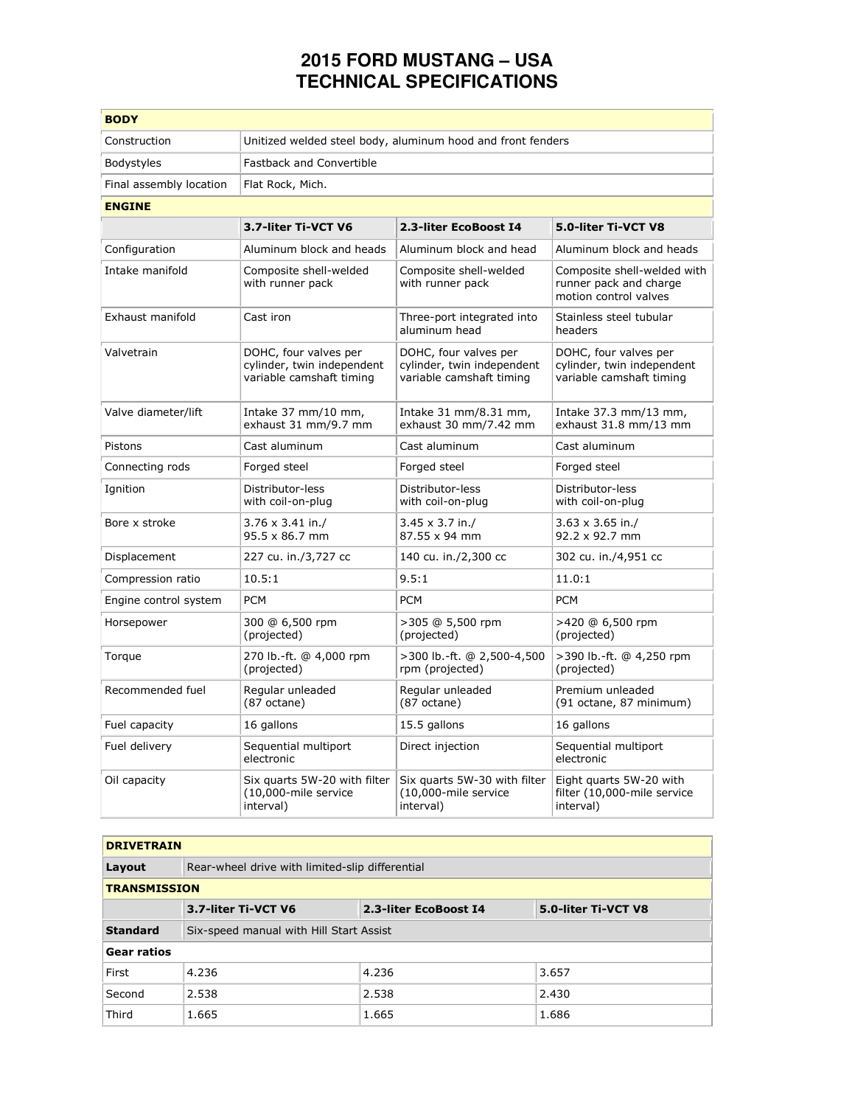## **2015 FORD MUSTANG – USA TECHNICAL SPECIFICATIONS**

| <b>BODY</b>             |                                                                                 |                                                                                 |                                                                                 |
|-------------------------|---------------------------------------------------------------------------------|---------------------------------------------------------------------------------|---------------------------------------------------------------------------------|
| Construction            | Unitized welded steel body, aluminum hood and front fenders                     |                                                                                 |                                                                                 |
| Bodystyles              | <b>Fastback and Convertible</b>                                                 |                                                                                 |                                                                                 |
| Final assembly location | Flat Rock, Mich.                                                                |                                                                                 |                                                                                 |
| <b>ENGINE</b>           |                                                                                 |                                                                                 |                                                                                 |
|                         | 3.7-liter Ti-VCT V6                                                             | 2.3-liter EcoBoost I4                                                           | 5.0-liter Ti-VCT V8                                                             |
| Configuration           | Aluminum block and heads                                                        | Aluminum block and head                                                         | Aluminum block and heads                                                        |
| Intake manifold         | Composite shell-welded<br>with runner pack                                      | Composite shell-welded<br>with runner pack                                      | Composite shell-welded with<br>runner pack and charge<br>motion control valves  |
| Exhaust manifold        | Cast iron                                                                       | Three-port integrated into<br>aluminum head                                     | Stainless steel tubular<br>headers                                              |
| Valvetrain              | DOHC, four valves per<br>cylinder, twin independent<br>variable camshaft timing | DOHC, four valves per<br>cylinder, twin independent<br>variable camshaft timing | DOHC, four valves per<br>cylinder, twin independent<br>variable camshaft timing |
| Valve diameter/lift     | Intake 37 mm/10 mm,<br>exhaust 31 mm/9.7 mm                                     | Intake 31 mm/8.31 mm,<br>exhaust 30 mm/7.42 mm                                  | Intake 37.3 mm/13 mm,<br>exhaust 31.8 mm/13 mm                                  |
| Pistons                 | Cast aluminum                                                                   | Cast aluminum                                                                   | Cast aluminum                                                                   |
| Connecting rods         | Forged steel                                                                    | Forged steel                                                                    | Forged steel                                                                    |
| Ignition                | Distributor-less<br>with coil-on-plug                                           | Distributor-less<br>with coil-on-plug                                           | Distributor-less<br>with coil-on-plug                                           |
| Bore x stroke           | $3.76 \times 3.41$ in./<br>$95.5 \times 86.7$ mm                                | $3.45 \times 3.7$ in./<br>87.55 x 94 mm                                         | $3.63 \times 3.65$ in./<br>$92.2 \times 92.7$ mm                                |
| Displacement            | 227 cu. in./3,727 cc                                                            | 140 cu. in./2,300 cc                                                            | 302 cu. in./4,951 cc                                                            |
| Compression ratio       | 10.5:1                                                                          | 9.5:1                                                                           | 11.0:1                                                                          |
| Engine control system   | <b>PCM</b>                                                                      | <b>PCM</b>                                                                      | <b>PCM</b>                                                                      |
| Horsepower              | 300 @ 6,500 rpm<br>(projected)                                                  | >305 @ 5,500 rpm<br>(projected)                                                 | >420 @ 6,500 rpm<br>(projected)                                                 |
| Torque                  | 270 lb.-ft. @ 4,000 rpm<br>(projected)                                          | >300 lb.-ft. @ 2,500-4,500<br>rpm (projected)                                   | >390 lb.-ft. @ 4,250 rpm<br>(projected)                                         |
| Recommended fuel        | Regular unleaded<br>$(87 \text{ octane})$                                       | Regular unleaded<br>(87 octane)                                                 | Premium unleaded<br>(91 octane, 87 minimum)                                     |
| Fuel capacity           | 16 gallons                                                                      | 15.5 gallons                                                                    | 16 gallons                                                                      |
| Fuel delivery           | Sequential multiport<br>electronic                                              | Direct injection                                                                | Sequential multiport<br>electronic                                              |
| Oil capacity            | Six quarts 5W-20 with filter<br>(10,000-mile service<br>interval)               | Six quarts 5W-30 with filter<br>(10,000-mile service<br>interval)               | Eight guarts 5W-20 with<br>filter (10,000-mile service<br>interval)             |

## **DRIVETRAIN**

| Layout              | Rear-wheel drive with limited-slip differential |                       |                     |
|---------------------|-------------------------------------------------|-----------------------|---------------------|
| <b>TRANSMISSION</b> |                                                 |                       |                     |
|                     | 3.7-liter Ti-VCT V6                             | 2.3-liter EcoBoost I4 | 5.0-liter Ti-VCT V8 |
| <b>Standard</b>     | Six-speed manual with Hill Start Assist         |                       |                     |
| <b>Gear ratios</b>  |                                                 |                       |                     |
| First               | 4.236                                           | 4.236                 | 3.657               |
| Second              | 2.538                                           | 2.538                 | 2.430               |
| Third               | 1.665                                           | 1.665                 | 1.686               |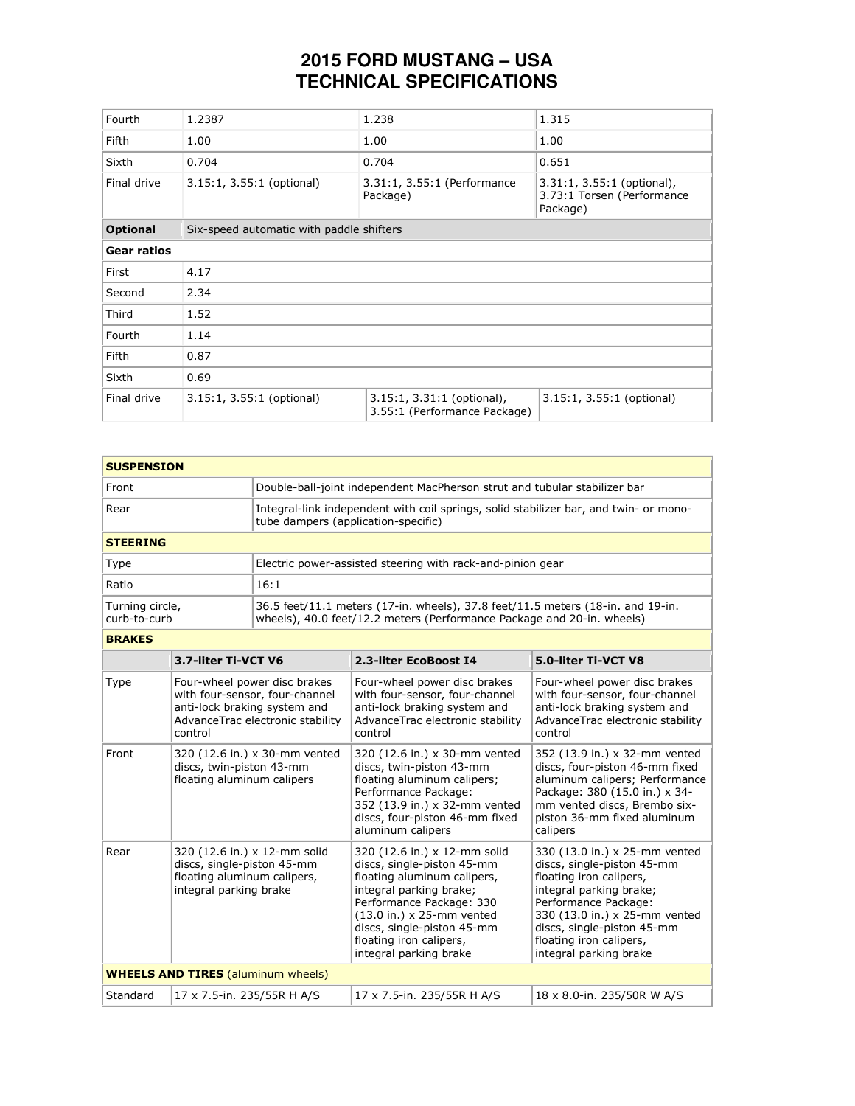## **2015 FORD MUSTANG – USA TECHNICAL SPECIFICATIONS**

| Fourth             | 1.2387                                   | 1.238                                                        | 1.315                                                                  |
|--------------------|------------------------------------------|--------------------------------------------------------------|------------------------------------------------------------------------|
| Fifth              | 1.00                                     | 1.00                                                         | 1.00                                                                   |
| Sixth              | 0.704                                    | 0.704                                                        | 0.651                                                                  |
| Final drive        | 3.15:1, 3.55:1 (optional)                | 3.31:1, 3.55:1 (Performance<br>Package)                      | $3.31:1, 3.55:1$ (optional),<br>3.73:1 Torsen (Performance<br>Package) |
| <b>Optional</b>    | Six-speed automatic with paddle shifters |                                                              |                                                                        |
| <b>Gear ratios</b> |                                          |                                                              |                                                                        |
| First              | 4.17                                     |                                                              |                                                                        |
| Second             | 2.34                                     |                                                              |                                                                        |
| Third              | 1.52                                     |                                                              |                                                                        |
| Fourth             | 1.14                                     |                                                              |                                                                        |
| <b>Fifth</b>       | 0.87                                     |                                                              |                                                                        |
| Sixth              | 0.69                                     |                                                              |                                                                        |
| Final drive        | 3.15:1, 3.55:1 (optional)                | $3.15:1, 3.31:1$ (optional),<br>3.55:1 (Performance Package) | 3.15:1, 3.55:1 (optional)                                              |

| <b>SUSPENSION</b>                           |                                                                                                                     |                                                                                                    |                                                                                                                                                                                                                                                                          |                                                                                                                                                                                                                                                               |  |
|---------------------------------------------|---------------------------------------------------------------------------------------------------------------------|----------------------------------------------------------------------------------------------------|--------------------------------------------------------------------------------------------------------------------------------------------------------------------------------------------------------------------------------------------------------------------------|---------------------------------------------------------------------------------------------------------------------------------------------------------------------------------------------------------------------------------------------------------------|--|
| Front                                       |                                                                                                                     | Double-ball-joint independent MacPherson strut and tubular stabilizer bar                          |                                                                                                                                                                                                                                                                          |                                                                                                                                                                                                                                                               |  |
| Rear<br>tube dampers (application-specific) |                                                                                                                     | Integral-link independent with coil springs, solid stabilizer bar, and twin- or mono-              |                                                                                                                                                                                                                                                                          |                                                                                                                                                                                                                                                               |  |
| <b>STEERING</b>                             |                                                                                                                     |                                                                                                    |                                                                                                                                                                                                                                                                          |                                                                                                                                                                                                                                                               |  |
| Type                                        |                                                                                                                     |                                                                                                    | Electric power-assisted steering with rack-and-pinion gear                                                                                                                                                                                                               |                                                                                                                                                                                                                                                               |  |
| Ratio                                       |                                                                                                                     | 16:1                                                                                               |                                                                                                                                                                                                                                                                          |                                                                                                                                                                                                                                                               |  |
| Turning circle,<br>curb-to-curb             |                                                                                                                     |                                                                                                    | 36.5 feet/11.1 meters (17-in. wheels), 37.8 feet/11.5 meters (18-in. and 19-in.<br>wheels), 40.0 feet/12.2 meters (Performance Package and 20-in. wheels)                                                                                                                |                                                                                                                                                                                                                                                               |  |
| <b>BRAKES</b>                               |                                                                                                                     |                                                                                                    |                                                                                                                                                                                                                                                                          |                                                                                                                                                                                                                                                               |  |
|                                             | 3.7-liter Ti-VCT V6                                                                                                 |                                                                                                    | 2.3-liter EcoBoost I4                                                                                                                                                                                                                                                    | 5.0-liter Ti-VCT V8                                                                                                                                                                                                                                           |  |
| Type                                        | anti-lock braking system and<br>control                                                                             | Four-wheel power disc brakes<br>with four-sensor, four-channel<br>AdvanceTrac electronic stability | Four-wheel power disc brakes<br>with four-sensor, four-channel<br>anti-lock braking system and<br>AdvanceTrac electronic stability<br>control                                                                                                                            | Four-wheel power disc brakes<br>with four-sensor, four-channel<br>anti-lock braking system and<br>AdvanceTrac electronic stability<br>control                                                                                                                 |  |
| Front                                       | 320 (12.6 in.) x 30-mm vented<br>discs, twin-piston 43-mm<br>floating aluminum calipers                             |                                                                                                    | 320 (12.6 in.) x 30-mm vented<br>discs, twin-piston 43-mm<br>floating aluminum calipers;<br>Performance Package:<br>352 (13.9 in.) x 32-mm vented<br>discs, four-piston 46-mm fixed<br>aluminum calipers                                                                 | 352 (13.9 in.) x 32-mm vented<br>discs, four-piston 46-mm fixed<br>aluminum calipers; Performance<br>Package: 380 (15.0 in.) x 34-<br>mm vented discs, Brembo six-<br>piston 36-mm fixed aluminum<br>calipers                                                 |  |
| Rear                                        | 320 (12.6 in.) x 12-mm solid<br>discs, single-piston 45-mm<br>floating aluminum calipers,<br>integral parking brake |                                                                                                    | 320 (12.6 in.) x 12-mm solid<br>discs, single-piston 45-mm<br>floating aluminum calipers,<br>integral parking brake;<br>Performance Package: 330<br>$(13.0 in.) \times 25$ -mm vented<br>discs, single-piston 45-mm<br>floating iron calipers,<br>integral parking brake | 330 (13.0 in.) x 25-mm vented<br>discs, single-piston 45-mm<br>floating iron calipers,<br>integral parking brake;<br>Performance Package:<br>330 (13.0 in.) x 25-mm vented<br>discs, single-piston 45-mm<br>floating iron calipers,<br>integral parking brake |  |
| <b>WHEELS AND TIRES (aluminum wheels)</b>   |                                                                                                                     |                                                                                                    |                                                                                                                                                                                                                                                                          |                                                                                                                                                                                                                                                               |  |
| Standard                                    | 17 x 7.5-in. 235/55R H A/S                                                                                          |                                                                                                    | 17 x 7.5-in. 235/55R H A/S                                                                                                                                                                                                                                               | 18 x 8.0-in. 235/50R W A/S                                                                                                                                                                                                                                    |  |